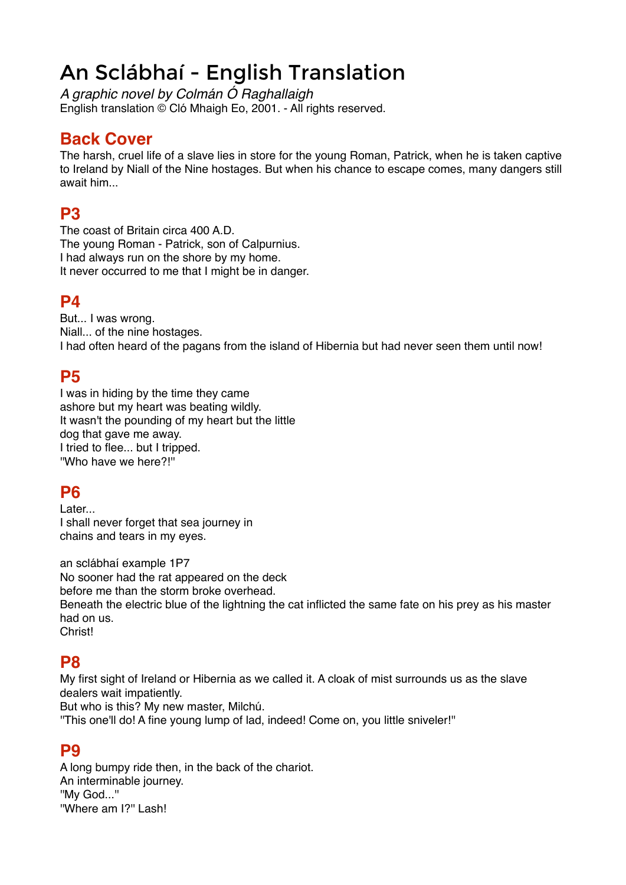# An Sclábhaí - English Translation

*A graphic novel by Colmán Ó Raghallaigh* English translation © Cló Mhaigh Eo, 2001. - All rights reserved.

# **Back Cover**

The harsh, cruel life of a slave lies in store for the young Roman, Patrick, when he is taken captive to Ireland by Niall of the Nine hostages. But when his chance to escape comes, many dangers still await him...

# **P3**

The coast of Britain circa 400 A.D. The young Roman - Patrick, son of Calpurnius. I had always run on the shore by my home. It never occurred to me that I might be in danger.

## **P4**

But... I was wrong. Niall... of the nine hostages. I had often heard of the pagans from the island of Hibernia but had never seen them until now!

## **P5**

I was in hiding by the time they came ashore but my heart was beating wildly. It wasn't the pounding of my heart but the little dog that gave me away. I tried to flee... but I tripped. ''Who have we here?!''

#### **P6**

Later... I shall never forget that sea journey in chains and tears in my eyes.

an sclábhaí example 1P7 No sooner had the rat appeared on the deck before me than the storm broke overhead. Beneath the electric blue of the lightning the cat inflicted the same fate on his prey as his master had on us. Christ!

## **P8**

My first sight of Ireland or Hibernia as we called it. A cloak of mist surrounds us as the slave dealers wait impatiently.

But who is this? My new master, Milchú.

''This one'll do! A fine young lump of lad, indeed! Come on, you little sniveler!''

## **P9**

A long bumpy ride then, in the back of the chariot. An interminable journey. ''My God...'' ''Where am I?'' Lash!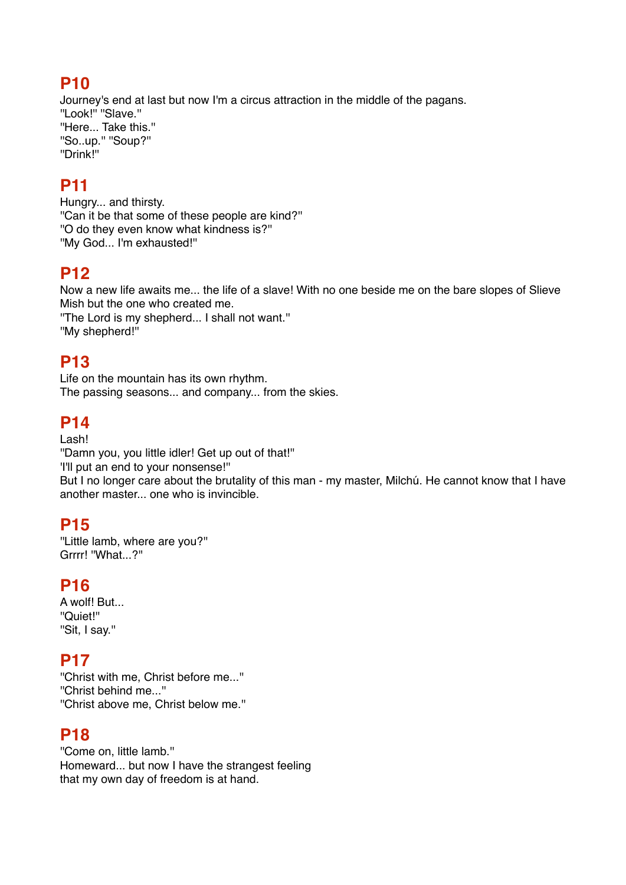Journey's end at last but now I'm a circus attraction in the middle of the pagans. ''Look!'' ''Slave.'' ''Here... Take this.'' ''So..up.'' ''Soup?'' ''Drink!''

# **P11**

Hungry... and thirsty. ''Can it be that some of these people are kind?'' ''O do they even know what kindness is?'' ''My God... I'm exhausted!''

# **P12**

Now a new life awaits me... the life of a slave! With no one beside me on the bare slopes of Slieve Mish but the one who created me.

''The Lord is my shepherd... I shall not want.'' ''My shepherd!''

# **P13**

Life on the mountain has its own rhythm. The passing seasons... and company... from the skies.

# **P14**

#### Lash!

''Damn you, you little idler! Get up out of that!'' 'I'll put an end to your nonsense!'' But I no longer care about the brutality of this man - my master, Milchú. He cannot know that I have another master... one who is invincible.

# **P15**

''Little lamb, where are you?'' Grrrr! ''What...?''

## **P16**

A wolf! But... ''Quiet!'' ''Sit, I say.''

## **P17**

''Christ with me, Christ before me...'' ''Christ behind me...'' ''Christ above me, Christ below me.''

## **P18**

''Come on, little lamb.'' Homeward... but now I have the strangest feeling that my own day of freedom is at hand.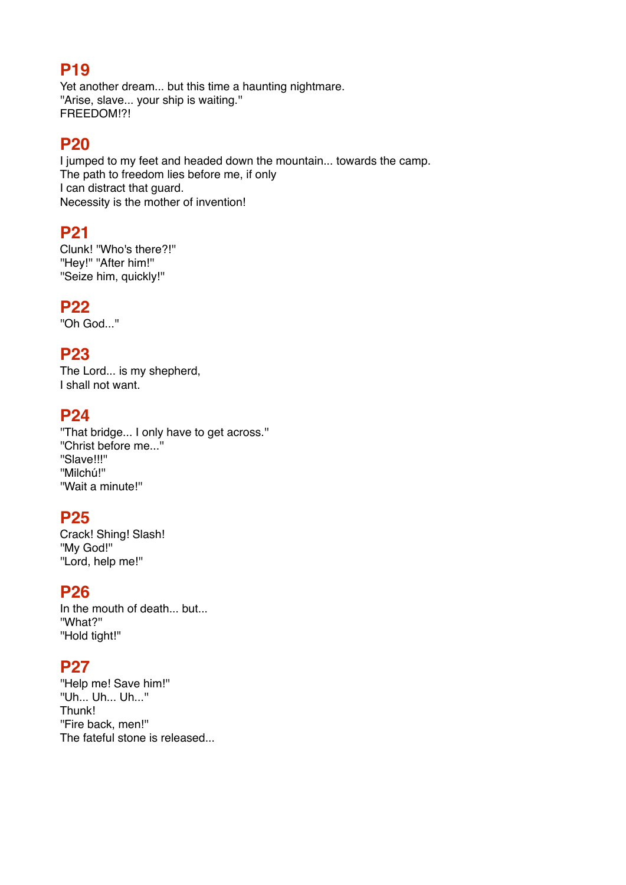Yet another dream... but this time a haunting nightmare. ''Arise, slave... your ship is waiting.'' FREEDOM!?!

#### **P20**

I jumped to my feet and headed down the mountain... towards the camp. The path to freedom lies before me, if only I can distract that guard. Necessity is the mother of invention!

#### **P21**

Clunk! ''Who's there?!'' "Hey!" "After him!" ''Seize him, quickly!''

#### **P22**

''Oh God...''

## **P23**

The Lord... is my shepherd, I shall not want.

#### **P24**

''That bridge... I only have to get across.'' ''Christ before me...'' ''Slave!!!'' ''Milchú!'' ''Wait a minute!''

#### **P25**

Crack! Shing! Slash! ''My God!'' ''Lord, help me!''

#### **P26**

In the mouth of death... but... ''What?'' ''Hold tight!''

## **P27**

''Help me! Save him!'' ''Uh... Uh... Uh...'' Thunk! ''Fire back, men!'' The fateful stone is released...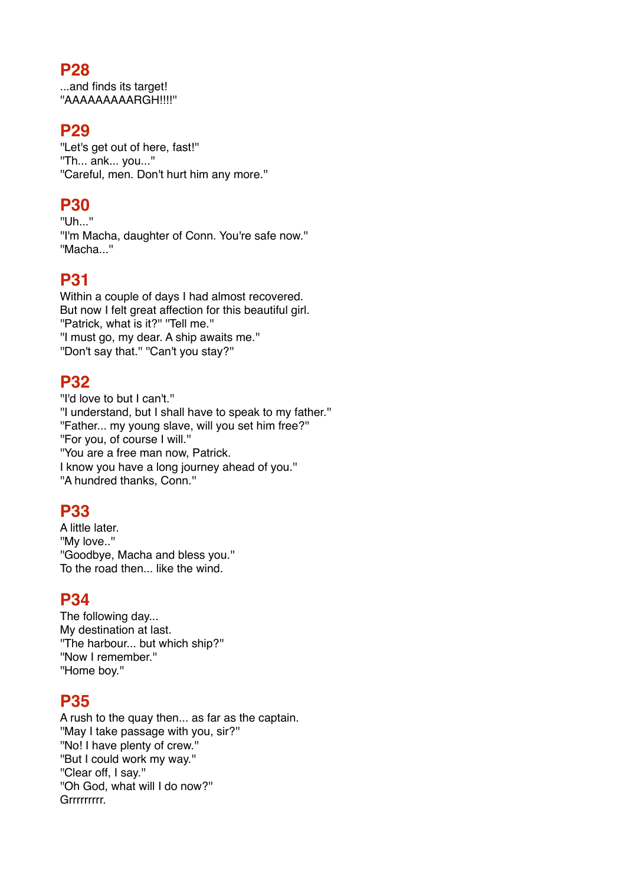...and finds its target! ''AAAAAAAAARGH!!!!''

## **P29**

''Let's get out of here, fast!'' ''Th... ank... you...'' ''Careful, men. Don't hurt him any more.''

# **P30**

''Uh...'' ''I'm Macha, daughter of Conn. You're safe now.'' ''Macha...''

# **P31**

Within a couple of days I had almost recovered. But now I felt great affection for this beautiful girl. "Patrick, what is it?" "Tell me." ''I must go, my dear. A ship awaits me.'' ''Don't say that.'' ''Can't you stay?''

# **P32**

''I'd love to but I can't.'' ''I understand, but I shall have to speak to my father.'' ''Father... my young slave, will you set him free?'' ''For you, of course I will.'' ''You are a free man now, Patrick. I know you have a long journey ahead of you.'' ''A hundred thanks, Conn.''

# **P33**

A little later. ''My love..'' ''Goodbye, Macha and bless you.'' To the road then... like the wind.

#### **P34**

The following day... My destination at last. ''The harbour... but which ship?'' ''Now I remember.'' ''Home boy.''

#### **P35**

A rush to the quay then... as far as the captain. ''May I take passage with you, sir?'' ''No! I have plenty of crew.'' ''But I could work my way.'' ''Clear off, I say.'' ''Oh God, what will I do now?'' Grrrrrrrrr.